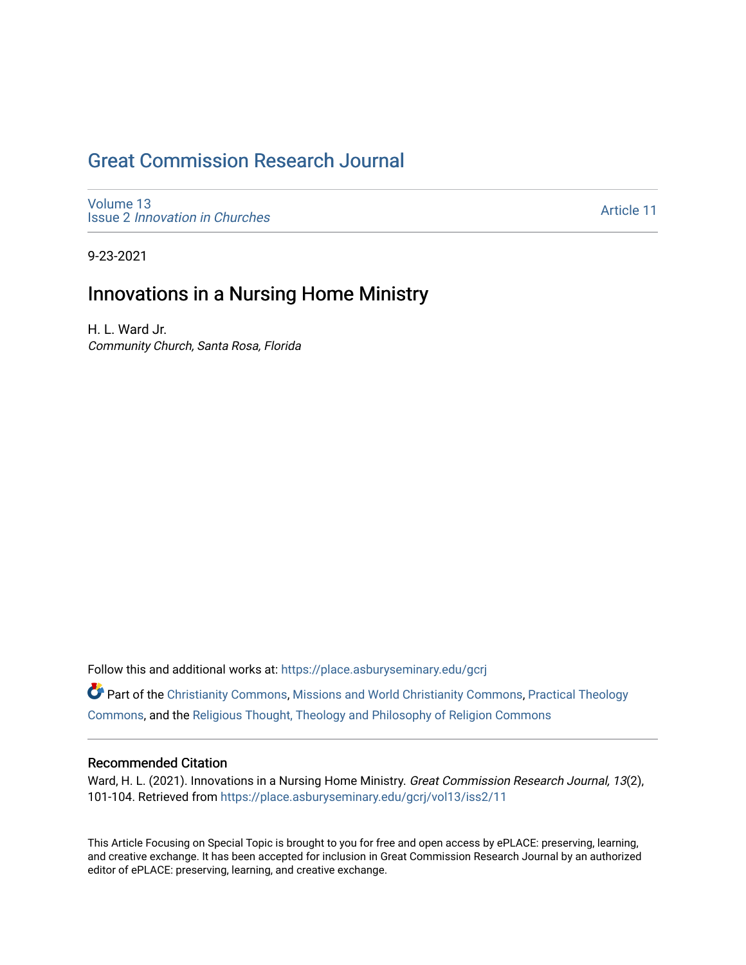## [Great Commission Research Journal](https://place.asburyseminary.edu/gcrj)

[Volume 13](https://place.asburyseminary.edu/gcrj/vol13) Issue 2 [Innovation in Churches](https://place.asburyseminary.edu/gcrj/vol13/iss2)

[Article 11](https://place.asburyseminary.edu/gcrj/vol13/iss2/11) 

9-23-2021

## Innovations in a Nursing Home Ministry

H. L. Ward Jr. Community Church, Santa Rosa, Florida

Follow this and additional works at: [https://place.asburyseminary.edu/gcrj](https://place.asburyseminary.edu/gcrj?utm_source=place.asburyseminary.edu%2Fgcrj%2Fvol13%2Fiss2%2F11&utm_medium=PDF&utm_campaign=PDFCoverPages) 

Part of the [Christianity Commons,](http://network.bepress.com/hgg/discipline/1181?utm_source=place.asburyseminary.edu%2Fgcrj%2Fvol13%2Fiss2%2F11&utm_medium=PDF&utm_campaign=PDFCoverPages) [Missions and World Christianity Commons](http://network.bepress.com/hgg/discipline/1187?utm_source=place.asburyseminary.edu%2Fgcrj%2Fvol13%2Fiss2%2F11&utm_medium=PDF&utm_campaign=PDFCoverPages), [Practical Theology](http://network.bepress.com/hgg/discipline/1186?utm_source=place.asburyseminary.edu%2Fgcrj%2Fvol13%2Fiss2%2F11&utm_medium=PDF&utm_campaign=PDFCoverPages)  [Commons](http://network.bepress.com/hgg/discipline/1186?utm_source=place.asburyseminary.edu%2Fgcrj%2Fvol13%2Fiss2%2F11&utm_medium=PDF&utm_campaign=PDFCoverPages), and the [Religious Thought, Theology and Philosophy of Religion Commons](http://network.bepress.com/hgg/discipline/544?utm_source=place.asburyseminary.edu%2Fgcrj%2Fvol13%2Fiss2%2F11&utm_medium=PDF&utm_campaign=PDFCoverPages) 

#### Recommended Citation

Ward, H. L. (2021). Innovations in a Nursing Home Ministry. Great Commission Research Journal, 13(2), 101-104. Retrieved from [https://place.asburyseminary.edu/gcrj/vol13/iss2/11](https://place.asburyseminary.edu/gcrj/vol13/iss2/11?utm_source=place.asburyseminary.edu%2Fgcrj%2Fvol13%2Fiss2%2F11&utm_medium=PDF&utm_campaign=PDFCoverPages)

This Article Focusing on Special Topic is brought to you for free and open access by ePLACE: preserving, learning, and creative exchange. It has been accepted for inclusion in Great Commission Research Journal by an authorized editor of ePLACE: preserving, learning, and creative exchange.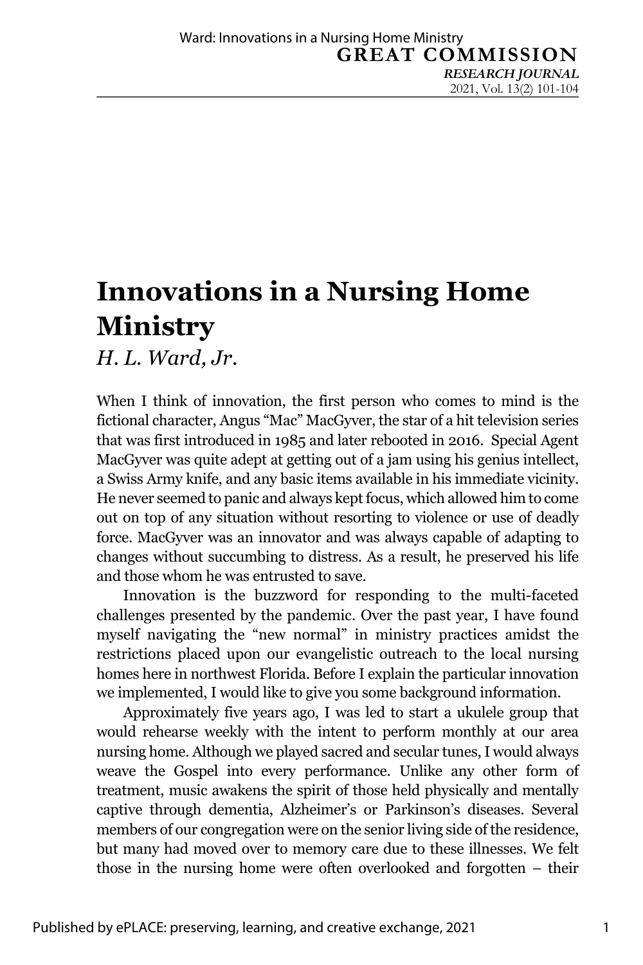# **Innovations in a Nursing Home Ministry**

*H. L. Ward, Jr.*

When I think of innovation, the first person who comes to mind is the fictional character, Angus "Mac" MacGyver, the star of a hit television series that was first introduced in 1985 and later rebooted in 2016. Special Agent MacGyver was quite adept at getting out of a jam using his genius intellect, a Swiss Army knife, and any basic items available in his immediate vicinity. He never seemed to panic and always kept focus, which allowed him to come out on top of any situation without resorting to violence or use of deadly force. MacGyver was an innovator and was always capable of adapting to changes without succumbing to distress. As a result, he preserved his life and those whom he was entrusted to save.

Innovation is the buzzword for responding to the multi-faceted challenges presented by the pandemic. Over the past year, I have found myself navigating the "new normal" in ministry practices amidst the restrictions placed upon our evangelistic outreach to the local nursing homes here in northwest Florida. Before I explain the particular innovation we implemented, I would like to give you some background information.

Approximately five years ago, I was led to start a ukulele group that would rehearse weekly with the intent to perform monthly at our area nursing home. Although we played sacred and secular tunes, I would always weave the Gospel into every performance. Unlike any other form of treatment, music awakens the spirit of those held physically and mentally captive through dementia, Alzheimer's or Parkinson's diseases. Several members of our congregation were on the senior living side of the residence, but many had moved over to memory care due to these illnesses. We felt those in the nursing home were often overlooked and forgotten – their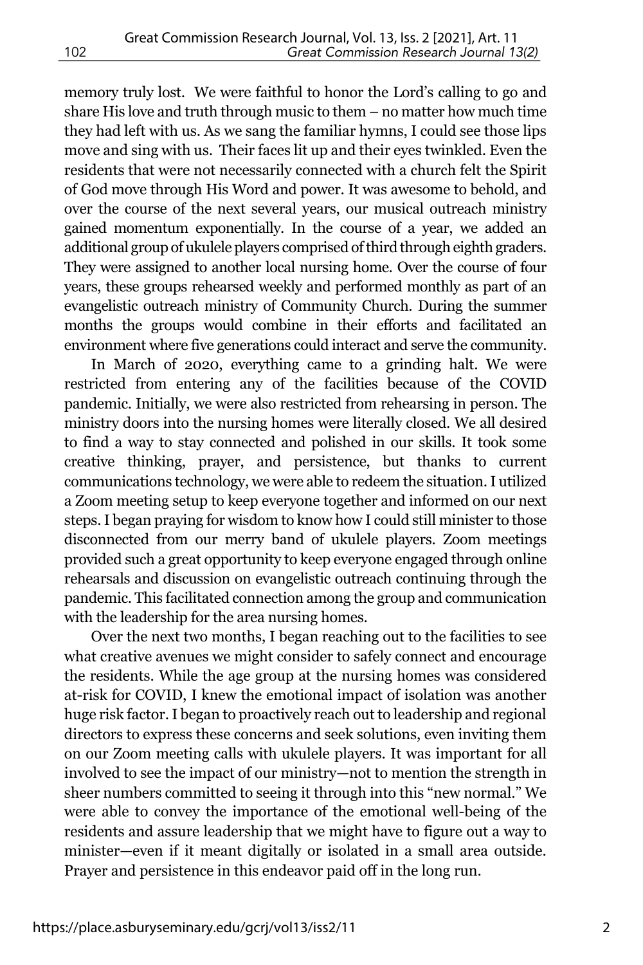memory truly lost. We were faithful to honor the Lord's calling to go and share His love and truth through music to them – no matter how much time they had left with us. As we sang the familiar hymns, I could see those lips move and sing with us. Their faces lit up and their eyes twinkled. Even the residents that were not necessarily connected with a church felt the Spirit of God move through His Word and power. It was awesome to behold, and over the course of the next several years, our musical outreach ministry gained momentum exponentially. In the course of a year, we added an additional group of ukulele players comprised of third through eighth graders. They were assigned to another local nursing home. Over the course of four years, these groups rehearsed weekly and performed monthly as part of an evangelistic outreach ministry of Community Church. During the summer months the groups would combine in their efforts and facilitated an environment where five generations could interact and serve the community.

In March of 2020, everything came to a grinding halt. We were restricted from entering any of the facilities because of the COVID pandemic. Initially, we were also restricted from rehearsing in person. The ministry doors into the nursing homes were literally closed. We all desired to find a way to stay connected and polished in our skills. It took some creative thinking, prayer, and persistence, but thanks to current communications technology, we were able to redeem the situation. I utilized a Zoom meeting setup to keep everyone together and informed on our next steps. I began praying for wisdom to know how I could still minister to those disconnected from our merry band of ukulele players. Zoom meetings provided such a great opportunity to keep everyone engaged through online rehearsals and discussion on evangelistic outreach continuing through the pandemic. This facilitated connection among the group and communication with the leadership for the area nursing homes.

Over the next two months, I began reaching out to the facilities to see what creative avenues we might consider to safely connect and encourage the residents. While the age group at the nursing homes was considered at-risk for COVID, I knew the emotional impact of isolation was another huge risk factor. I began to proactively reach out to leadership and regional directors to express these concerns and seek solutions, even inviting them on our Zoom meeting calls with ukulele players. It was important for all involved to see the impact of our ministry—not to mention the strength in sheer numbers committed to seeing it through into this "new normal." We were able to convey the importance of the emotional well-being of the residents and assure leadership that we might have to figure out a way to minister—even if it meant digitally or isolated in a small area outside. Prayer and persistence in this endeavor paid off in the long run.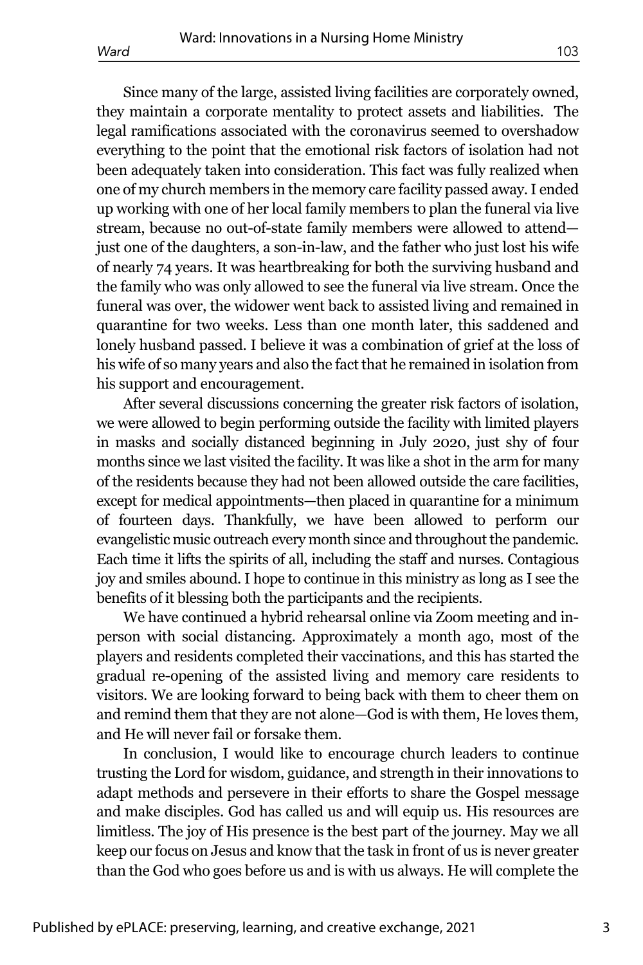*Ward* 103

Since many of the large, assisted living facilities are corporately owned, they maintain a corporate mentality to protect assets and liabilities. The legal ramifications associated with the coronavirus seemed to overshadow everything to the point that the emotional risk factors of isolation had not been adequately taken into consideration. This fact was fully realized when one of my church members in the memory care facility passed away. I ended up working with one of her local family members to plan the funeral via live stream, because no out-of-state family members were allowed to attend just one of the daughters, a son-in-law, and the father who just lost his wife of nearly 74 years. It was heartbreaking for both the surviving husband and the family who was only allowed to see the funeral via live stream. Once the funeral was over, the widower went back to assisted living and remained in quarantine for two weeks. Less than one month later, this saddened and lonely husband passed. I believe it was a combination of grief at the loss of his wife of so many years and also the fact that he remained in isolation from his support and encouragement.

After several discussions concerning the greater risk factors of isolation, we were allowed to begin performing outside the facility with limited players in masks and socially distanced beginning in July 2020, just shy of four months since we last visited the facility. It was like a shot in the arm for many of the residents because they had not been allowed outside the care facilities, except for medical appointments—then placed in quarantine for a minimum of fourteen days. Thankfully, we have been allowed to perform our evangelistic music outreach every month since and throughout the pandemic. Each time it lifts the spirits of all, including the staff and nurses. Contagious joy and smiles abound. I hope to continue in this ministry as long as I see the benefits of it blessing both the participants and the recipients.

We have continued a hybrid rehearsal online via Zoom meeting and inperson with social distancing. Approximately a month ago, most of the players and residents completed their vaccinations, and this has started the gradual re-opening of the assisted living and memory care residents to visitors. We are looking forward to being back with them to cheer them on and remind them that they are not alone—God is with them, He loves them, and He will never fail or forsake them.

In conclusion, I would like to encourage church leaders to continue trusting the Lord for wisdom, guidance, and strength in their innovations to adapt methods and persevere in their efforts to share the Gospel message and make disciples. God has called us and will equip us. His resources are limitless. The joy of His presence is the best part of the journey. May we all keep our focus on Jesus and know that the task in front of us is never greater than the God who goes before us and is with us always. He will complete the